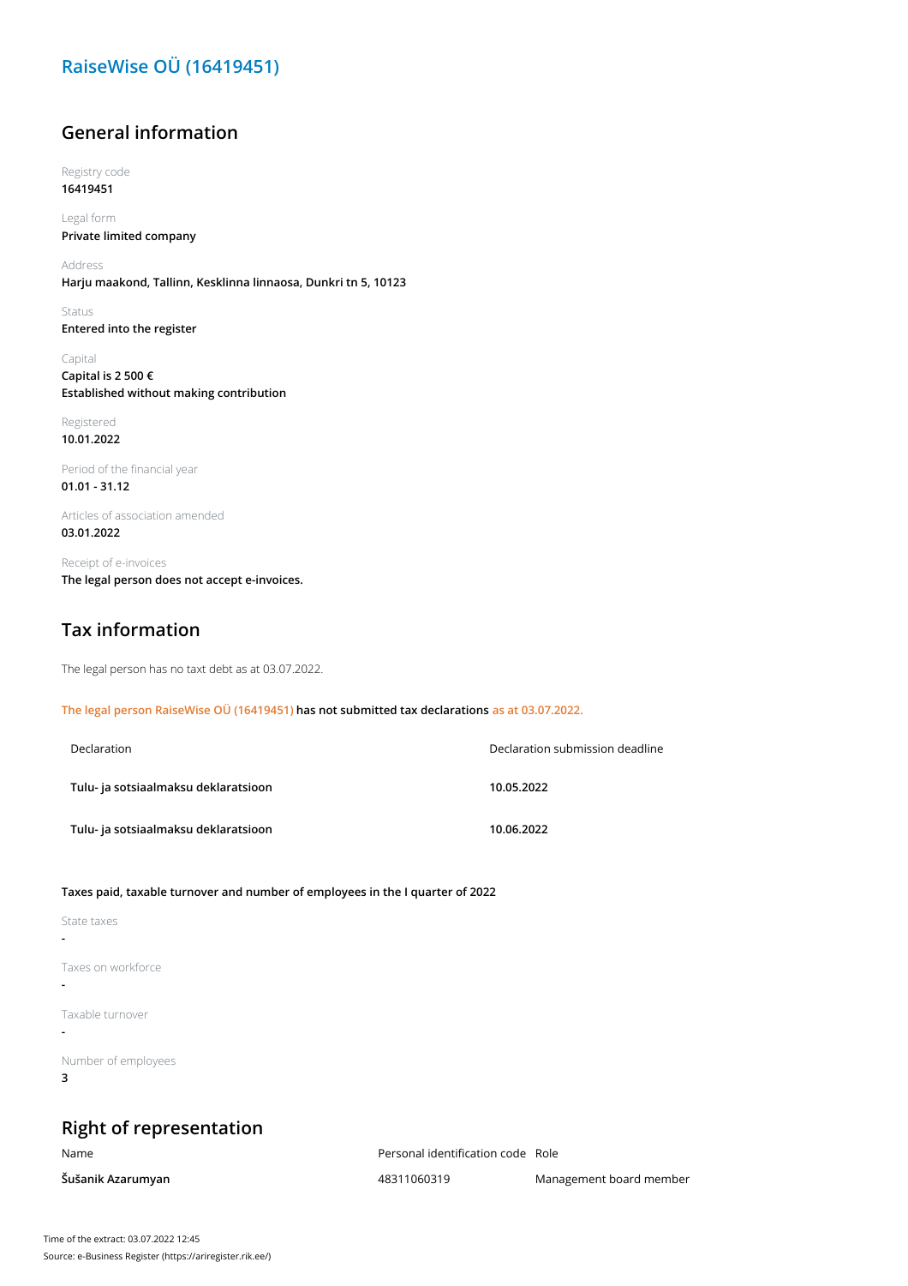## **RaiseWise OÜ (16419451)**

#### **General information**

Registry code **16419451**

Legal form **Private limited company**

Address **Harju maakond, Tallinn, Kesklinna linnaosa, Dunkri tn 5, 10123**

Status **Entered into the register**

Capital **Capital is 2 500 € Established without making contribution**

Registered **10.01.2022**

Period of the financial year **01.01 - 31.12**

Articles of association amended **03.01.2022**

Receipt of e-invoices **The legal person does not accept e-invoices.**

#### **Tax information**

The legal person has no taxt debt as at 03.07.2022.

**The legal person RaiseWise OÜ (16419451) has not submitted tax declarations as at 03.07.2022.**

| Declaration                          | Declaration submission deadline |  |
|--------------------------------------|---------------------------------|--|
| Tulu- ja sotsiaalmaksu deklaratsioon | 10.05.2022                      |  |
| Tulu- ja sotsiaalmaksu deklaratsioon | 10.06.2022                      |  |

**Taxes paid, taxable turnover and number of employees in the I quarter of 2022**

| State taxes              |  |  |
|--------------------------|--|--|
| Taxes on workforce       |  |  |
| Taxable turnover         |  |  |
| Number of employees<br>3 |  |  |

# **Right of representation**

Name Personal identification code Role

**Šušanik Azarumyan** 48311060319 Management board member